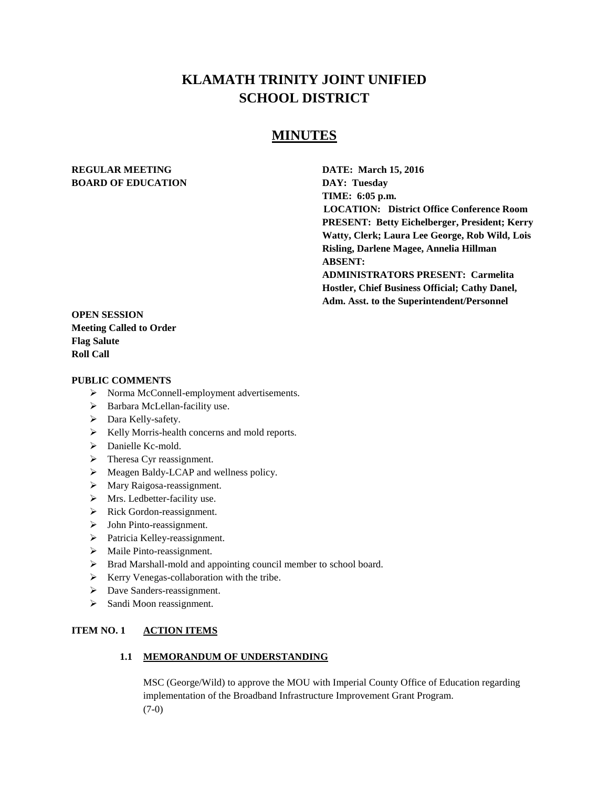# **KLAMATH TRINITY JOINT UNIFIED SCHOOL DISTRICT**

## **MINUTES**

## **REGULAR MEETING DATE: March 15, 2016 BOARD OF EDUCATION DAY: Tuesday**

**TIME: 6:05 p.m. LOCATION: District Office Conference Room PRESENT: Betty Eichelberger, President; Kerry Watty, Clerk; Laura Lee George, Rob Wild, Lois Risling, Darlene Magee, Annelia Hillman ABSENT: ADMINISTRATORS PRESENT: Carmelita Hostler, Chief Business Official; Cathy Danel, Adm. Asst. to the Superintendent/Personnel** 

## **OPEN SESSION Meeting Called to Order Flag Salute Roll Call**

#### **PUBLIC COMMENTS**

- > Norma McConnell-employment advertisements.
- $\triangleright$  Barbara McLellan-facility use.
- > Dara Kelly-safety.
- $\triangleright$  Kelly Morris-health concerns and mold reports.
- $\triangleright$  Danielle Kc-mold.
- $\triangleright$  Theresa Cyr reassignment.
- $\triangleright$  Meagen Baldy-LCAP and wellness policy.
- > Mary Raigosa-reassignment.
- > Mrs. Ledbetter-facility use.
- $\triangleright$  Rick Gordon-reassignment.
- > John Pinto-reassignment.
- > Patricia Kelley-reassignment.
- $\triangleright$  Maile Pinto-reassignment.
- Brad Marshall-mold and appointing council member to school board.
- $\triangleright$  Kerry Venegas-collaboration with the tribe.
- > Dave Sanders-reassignment.
- $\triangleright$  Sandi Moon reassignment.

### **ITEM NO. 1 ACTION ITEMS**

#### **1.1 MEMORANDUM OF UNDERSTANDING**

MSC (George/Wild) to approve the MOU with Imperial County Office of Education regarding implementation of the Broadband Infrastructure Improvement Grant Program. (7-0)